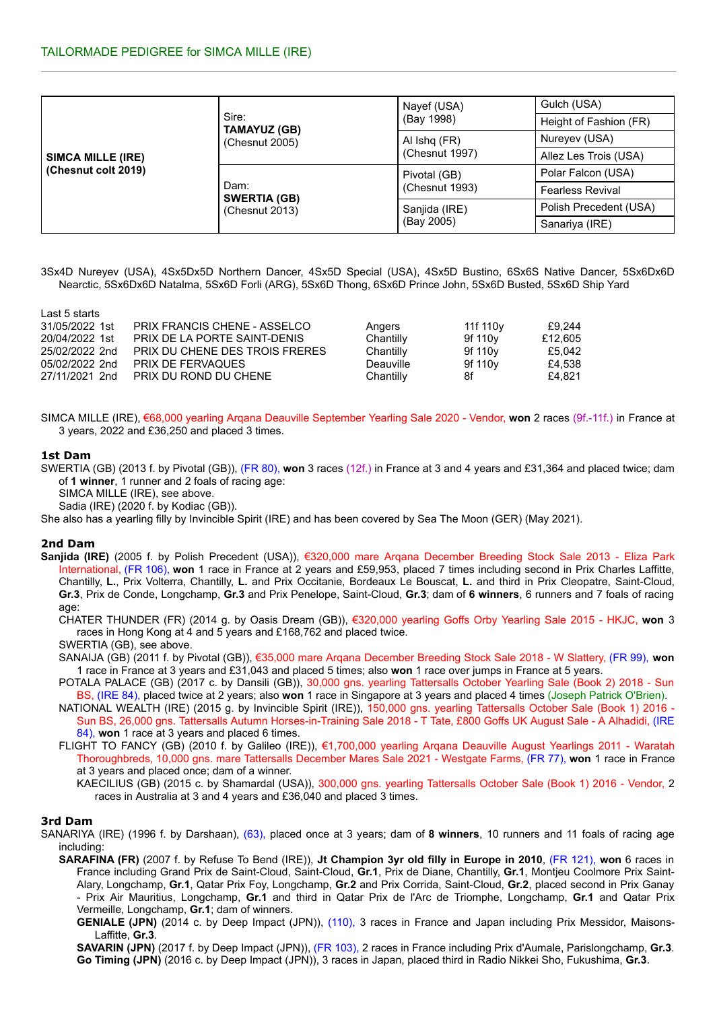| <b>SIMCA MILLE (IRE)</b><br>(Chesnut colt 2019) |                              | Nayef (USA)    | Gulch (USA)             |  |
|-------------------------------------------------|------------------------------|----------------|-------------------------|--|
|                                                 | Sire:<br><b>TAMAYUZ (GB)</b> | (Bay 1998)     | Height of Fashion (FR)  |  |
|                                                 | (Chesnut 2005)               | Al Ishq (FR)   | Nureyev (USA)           |  |
|                                                 |                              | (Chesnut 1997) | Allez Les Trois (USA)   |  |
|                                                 | Dam:<br><b>SWERTIA (GB)</b>  | Pivotal (GB)   | Polar Falcon (USA)      |  |
|                                                 |                              | (Chesnut 1993) | <b>Fearless Revival</b> |  |
|                                                 | (Chesnut 2013)               | Sanjida (IRE)  | Polish Precedent (USA)  |  |
|                                                 |                              | (Bay 2005)     | Sanariya (IRE)          |  |

3Sx4D Nureyev (USA), 4Sx5Dx5D Northern Dancer, 4Sx5D Special (USA), 4Sx5D Bustino, 6Sx6S Native Dancer, 5Sx6Dx6D Nearctic, 5Sx6Dx6D Natalma, 5Sx6D Forli (ARG), 5Sx6D Thong, 6Sx6D Prince John, 5Sx6D Busted, 5Sx6D Ship Yard

Last 5 starts

| 31/05/2022 1st | PRIX FRANCIS CHENE - ASSELCO   | Angers    | 11f 110 <sub>V</sub> | £9.244  |
|----------------|--------------------------------|-----------|----------------------|---------|
| 20/04/2022 1st | PRIX DE LA PORTE SAINT-DENIS   | Chantilly | 9f 110 <sub>V</sub>  | £12.605 |
| 25/02/2022 2nd | PRIX DU CHENE DES TROIS FRERES | Chantilly | 9f 110 <sub>V</sub>  | £5.042  |
| 05/02/2022 2nd | PRIX DE FERVAQUES              | Deauville | 9f 110v              | £4.538  |
| 27/11/2021 2nd | PRIX DU ROND DU CHENE          | Chantilly | 8f                   | £4.821  |

SIMCA MILLE (IRE), €68,000 yearling Arqana Deauville September Yearling Sale 2020 - Vendor, **won** 2 races (9f.-11f.) in France at 3 years, 2022 and £36,250 and placed 3 times.

# **1st Dam**

SWERTIA (GB) (2013 f. by Pivotal (GB)), (FR 80), **won** 3 races (12f.) in France at 3 and 4 years and £31,364 and placed twice; dam of **1 winner**, 1 runner and 2 foals of racing age:

SIMCA MILLE (IRE), see above.

Sadia (IRE) (2020 f. by Kodiac (GB)).

She also has a yearling filly by Invincible Spirit (IRE) and has been covered by Sea The Moon (GER) (May 2021).

### **2nd Dam**

**Sanjida (IRE)** (2005 f. by Polish Precedent (USA)), €320,000 mare Arqana December Breeding Stock Sale 2013 - Eliza Park International, (FR 106), **won** 1 race in France at 2 years and £59,953, placed 7 times including second in Prix Charles Laffitte, Chantilly, **L.**, Prix Volterra, Chantilly, **L.** and Prix Occitanie, Bordeaux Le Bouscat, **L.** and third in Prix Cleopatre, Saint-Cloud, **Gr.3**, Prix de Conde, Longchamp, **Gr.3** and Prix Penelope, Saint-Cloud, **Gr.3**; dam of **6 winners**, 6 runners and 7 foals of racing age:

CHATER THUNDER (FR) (2014 g. by Oasis Dream (GB)), €320,000 yearling Goffs Orby Yearling Sale 2015 - HKJC, **won** 3 races in Hong Kong at 4 and 5 years and £168,762 and placed twice.

SWERTIA (GB), see above.

SANAIJA (GB) (2011 f. by Pivotal (GB)), €35,000 mare Arqana December Breeding Stock Sale 2018 - W Slattery, (FR 99), **won** 1 race in France at 3 years and £31,043 and placed 5 times; also **won** 1 race over jumps in France at 5 years.

- POTALA PALACE (GB) (2017 c. by Dansili (GB)), 30,000 gns. yearling Tattersalls October Yearling Sale (Book 2) 2018 Sun BS, (IRE 84), placed twice at 2 years; also **won** 1 race in Singapore at 3 years and placed 4 times (Joseph Patrick O'Brien).
- NATIONAL WEALTH (IRE) (2015 g. by Invincible Spirit (IRE)), 150,000 gns. yearling Tattersalls October Sale (Book 1) 2016 Sun BS, 26,000 gns. Tattersalls Autumn Horses-in-Training Sale 2018 - T Tate, £800 Goffs UK August Sale - A Alhadidi, (IRE 84), **won** 1 race at 3 years and placed 6 times.
- FLIGHT TO FANCY (GB) (2010 f. by Galileo (IRE)), €1,700,000 yearling Arqana Deauville August Yearlings 2011 Waratah Thoroughbreds, 10,000 gns. mare Tattersalls December Mares Sale 2021 - Westgate Farms, (FR 77), **won** 1 race in France at 3 years and placed once; dam of a winner.

KAECILIUS (GB) (2015 c. by Shamardal (USA)), 300,000 gns. yearling Tattersalls October Sale (Book 1) 2016 - Vendor, 2 races in Australia at 3 and 4 years and £36,040 and placed 3 times.

# **3rd Dam**

- SANARIYA (IRE) (1996 f. by Darshaan), (63), placed once at 3 years; dam of **8 winners**, 10 runners and 11 foals of racing age including:
	- **SARAFINA (FR)** (2007 f. by Refuse To Bend (IRE)), **Jt Champion 3yr old filly in Europe in 2010**, (FR 121), **won** 6 races in France including Grand Prix de Saint-Cloud, Saint-Cloud, **Gr.1**, Prix de Diane, Chantilly, **Gr.1**, Montjeu Coolmore Prix Saint-Alary, Longchamp, **Gr.1**, Qatar Prix Foy, Longchamp, **Gr.2** and Prix Corrida, Saint-Cloud, **Gr.2**, placed second in Prix Ganay - Prix Air Mauritius, Longchamp, **Gr.1** and third in Qatar Prix de l'Arc de Triomphe, Longchamp, **Gr.1** and Qatar Prix Vermeille, Longchamp, **Gr.1**; dam of winners.
		- **GENIALE (JPN)** (2014 c. by Deep Impact (JPN)), (110), 3 races in France and Japan including Prix Messidor, Maisons-Laffitte, **Gr.3**.

**SAVARIN (JPN)** (2017 f. by Deep Impact (JPN)), (FR 103), 2 races in France including Prix d'Aumale, Parislongchamp, **Gr.3**. **Go Timing (JPN)** (2016 c. by Deep Impact (JPN)), 3 races in Japan, placed third in Radio Nikkei Sho, Fukushima, **Gr.3**.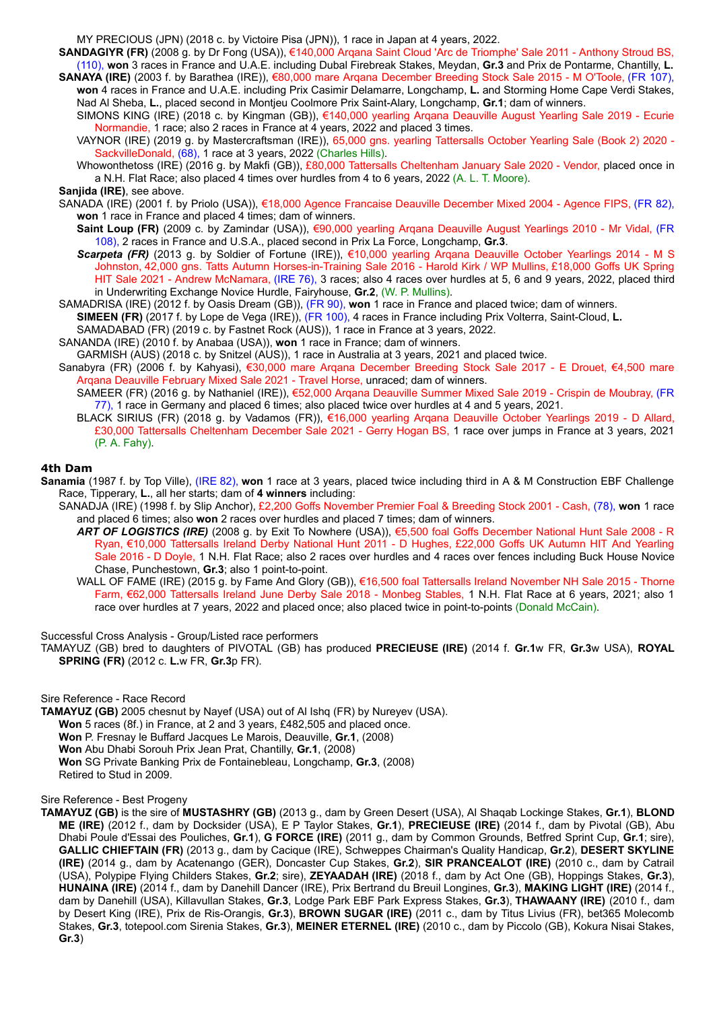MY PRECIOUS (JPN) (2018 c. by Victoire Pisa (JPN)), 1 race in Japan at 4 years, 2022.

**SANDAGIYR (FR)** (2008 g. by Dr Fong (USA)), €140,000 Arqana Saint Cloud 'Arc de Triomphe' Sale 2011 - Anthony Stroud BS, (110), **won** 3 races in France and U.A.E. including Dubal Firebreak Stakes, Meydan, **Gr.3** and Prix de Pontarme, Chantilly, **L.**

- **SANAYA (IRE)** (2003 f. by Barathea (IRE)), €80,000 mare Arqana December Breeding Stock Sale 2015 M O'Toole, (FR 107), **won** 4 races in France and U.A.E. including Prix Casimir Delamarre, Longchamp, **L.** and Storming Home Cape Verdi Stakes, Nad Al Sheba, **L.**, placed second in Montjeu Coolmore Prix Saint-Alary, Longchamp, **Gr.1**; dam of winners.
	- SIMONS KING (IRE) (2018 c. by Kingman (GB)), €140,000 yearling Arqana Deauville August Yearling Sale 2019 Ecurie Normandie, 1 race; also 2 races in France at 4 years, 2022 and placed 3 times.
	- VAYNOR (IRE) (2019 g. by Mastercraftsman (IRE)), 65,000 gns. yearling Tattersalls October Yearling Sale (Book 2) 2020 SackvilleDonald, (68), 1 race at 3 years, 2022 (Charles Hills).
- Whowonthetoss (IRE) (2016 g. by Makfi (GB)), £80,000 Tattersalls Cheltenham January Sale 2020 Vendor, placed once in a N.H. Flat Race; also placed 4 times over hurdles from 4 to 6 years, 2022 (A. L. T. Moore).

# **Sanjida (IRE)**, see above.

- SANADA (IRE) (2001 f. by Priolo (USA)), €18,000 Agence Francaise Deauville December Mixed 2004 Agence FIPS, (FR 82), **won** 1 race in France and placed 4 times; dam of winners.
	- **Saint Loup (FR)** (2009 c. by Zamindar (USA)), €90,000 yearling Arqana Deauville August Yearlings 2010 Mr Vidal, (FR 108), 2 races in France and U.S.A., placed second in Prix La Force, Longchamp, **Gr.3**.
	- *Scarpeta (FR)* (2013 g. by Soldier of Fortune (IRE)), €10,000 yearling Arqana Deauville October Yearlings 2014 M S Johnston, 42,000 gns. Tatts Autumn Horses-in-Training Sale 2016 - Harold Kirk / WP Mullins, £18,000 Goffs UK Spring HIT Sale 2021 - Andrew McNamara, (IRE 76), 3 races; also 4 races over hurdles at 5, 6 and 9 years, 2022, placed third in Underwriting Exchange Novice Hurdle, Fairyhouse, **Gr.2**, (W. P. Mullins).
- SAMADRISA (IRE) (2012 f. by Oasis Dream (GB)), (FR 90), **won** 1 race in France and placed twice; dam of winners.
- **SIMEEN (FR)** (2017 f. by Lope de Vega (IRE)), (FR 100), 4 races in France including Prix Volterra, Saint-Cloud, **L.**
- SAMADABAD (FR) (2019 c. by Fastnet Rock (AUS)), 1 race in France at 3 years, 2022.
- SANANDA (IRE) (2010 f. by Anabaa (USA)), **won** 1 race in France; dam of winners.
- GARMISH (AUS) (2018 c. by Snitzel (AUS)), 1 race in Australia at 3 years, 2021 and placed twice.
- Sanabyra (FR) (2006 f. by Kahyasi), €30,000 mare Arqana December Breeding Stock Sale 2017 E Drouet, €4,500 mare Arqana Deauville February Mixed Sale 2021 - Travel Horse, unraced; dam of winners.
	- SAMEER (FR) (2016 g. by Nathaniel (IRE)), €52,000 Arqana Deauville Summer Mixed Sale 2019 Crispin de Moubray, (FR 77), 1 race in Germany and placed 6 times; also placed twice over hurdles at 4 and 5 years, 2021.
	- BLACK SIRIUS (FR) (2018 g. by Vadamos (FR)), €16,000 yearling Arqana Deauville October Yearlings 2019 D Allard, £30,000 Tattersalls Cheltenham December Sale 2021 - Gerry Hogan BS, 1 race over jumps in France at 3 years, 2021 (P. A. Fahy).

# **4th Dam**

- **Sanamia** (1987 f. by Top Ville), (IRE 82), **won** 1 race at 3 years, placed twice including third in A & M Construction EBF Challenge Race, Tipperary, **L.**, all her starts; dam of **4 winners** including:
	- SANADJA (IRE) (1998 f. by Slip Anchor), £2,200 Goffs November Premier Foal & Breeding Stock 2001 Cash, (78), **won** 1 race and placed 6 times; also **won** 2 races over hurdles and placed 7 times; dam of winners.
		- *ART OF LOGISTICS (IRE)* (2008 g. by Exit To Nowhere (USA)), €5,500 foal Goffs December National Hunt Sale 2008 R Ryan, €10,000 Tattersalls Ireland Derby National Hunt 2011 - D Hughes, £22,000 Goffs UK Autumn HIT And Yearling Sale 2016 - D Doyle, 1 N.H. Flat Race; also 2 races over hurdles and 4 races over fences including Buck House Novice Chase, Punchestown, **Gr.3**; also 1 point-to-point.
		- WALL OF FAME (IRE) (2015 g. by Fame And Glory (GB)), €16,500 foal Tattersalls Ireland November NH Sale 2015 Thorne Farm, €62,000 Tattersalls Ireland June Derby Sale 2018 - Monbeg Stables, 1 N.H. Flat Race at 6 years, 2021; also 1 race over hurdles at 7 years, 2022 and placed once; also placed twice in point-to-points (Donald McCain).

Successful Cross Analysis - Group/Listed race performers

TAMAYUZ (GB) bred to daughters of PIVOTAL (GB) has produced **PRECIEUSE (IRE)** (2014 f. **Gr.1**w FR, **Gr.3**w USA), **ROYAL SPRING (FR)** (2012 c. **L.**w FR, **Gr.3**p FR).

### Sire Reference - Race Record

**TAMAYUZ (GB)** 2005 chesnut by Nayef (USA) out of Al Ishq (FR) by Nureyev (USA). **Won** 5 races (8f.) in France, at 2 and 3 years, £482,505 and placed once. **Won** P. Fresnay le Buffard Jacques Le Marois, Deauville, **Gr.1**, (2008) **Won** Abu Dhabi Sorouh Prix Jean Prat, Chantilly, **Gr.1**, (2008) **Won** SG Private Banking Prix de Fontainebleau, Longchamp, **Gr.3**, (2008) Retired to Stud in 2009.

### Sire Reference - Best Progeny

**TAMAYUZ (GB)** is the sire of **MUSTASHRY (GB)** (2013 g., dam by Green Desert (USA), Al Shaqab Lockinge Stakes, **Gr.1**), **BLOND ME (IRE)** (2012 f., dam by Docksider (USA), E P Taylor Stakes, **Gr.1**), **PRECIEUSE (IRE)** (2014 f., dam by Pivotal (GB), Abu Dhabi Poule d'Essai des Pouliches, **Gr.1**), **G FORCE (IRE)** (2011 g., dam by Common Grounds, Betfred Sprint Cup, **Gr.1**; sire), **GALLIC CHIEFTAIN (FR)** (2013 g., dam by Cacique (IRE), Schweppes Chairman's Quality Handicap, **Gr.2**), **DESERT SKYLINE (IRE)** (2014 g., dam by Acatenango (GER), Doncaster Cup Stakes, **Gr.2**), **SIR PRANCEALOT (IRE)** (2010 c., dam by Catrail (USA), Polypipe Flying Childers Stakes, **Gr.2**; sire), **ZEYAADAH (IRE)** (2018 f., dam by Act One (GB), Hoppings Stakes, **Gr.3**), **HUNAINA (IRE)** (2014 f., dam by Danehill Dancer (IRE), Prix Bertrand du Breuil Longines, **Gr.3**), **MAKING LIGHT (IRE)** (2014 f., dam by Danehill (USA), Killavullan Stakes, **Gr.3**, Lodge Park EBF Park Express Stakes, **Gr.3**), **THAWAANY (IRE)** (2010 f., dam by Desert King (IRE), Prix de Ris-Orangis, **Gr.3**), **BROWN SUGAR (IRE)** (2011 c., dam by Titus Livius (FR), bet365 Molecomb Stakes, **Gr.3**, totepool.com Sirenia Stakes, **Gr.3**), **MEINER ETERNEL (IRE)** (2010 c., dam by Piccolo (GB), Kokura Nisai Stakes, **Gr.3**)